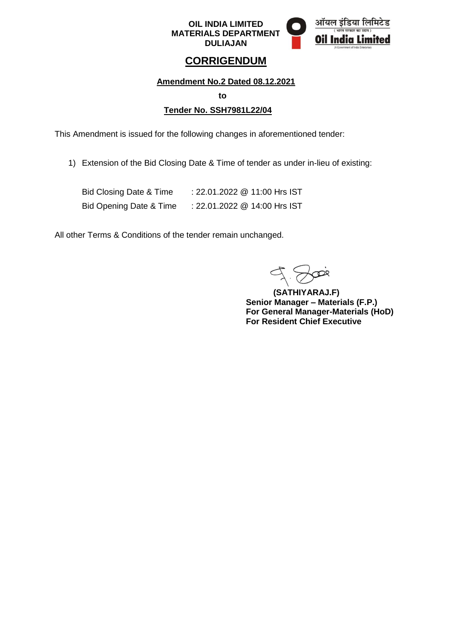

ऑयल Oil India

## **CORRIGENDUM**

**Amendment No.2 Dated 08.12.2021** 

**to**

#### **Tender No. SSH7981L22/04**

This Amendment is issued for the following changes in aforementioned tender:

1) Extension of the Bid Closing Date & Time of tender as under in-lieu of existing:

| Bid Closing Date & Time | : 22.01.2022 @ 11:00 Hrs IST |
|-------------------------|------------------------------|
| Bid Opening Date & Time | : 22.01.2022 @ 14:00 Hrs IST |

All other Terms & Conditions of the tender remain unchanged.

**(SATHIYARAJ.F) Senior Manager – Materials (F.P.) For General Manager-Materials (HoD) For Resident Chief Executive**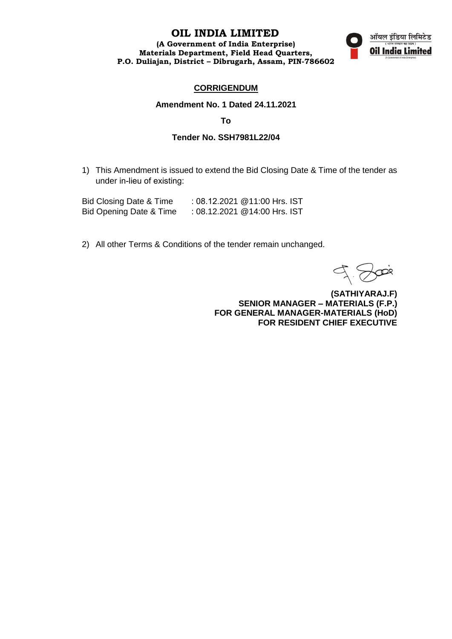#### **OIL INDIA LIMITED**

**(A Government of India Enterprise) Materials Department, Field Head Quarters, P.O. Duliajan, District – Dibrugarh, Assam, PIN-786602**



#### **CORRIGENDUM**

#### **Amendment No. 1 Dated 24.11.2021**

**To**

#### **Tender No. SSH7981L22/04**

1) This Amendment is issued to extend the Bid Closing Date & Time of the tender as under in-lieu of existing:

| Bid Closing Date & Time | : 08.12.2021 @11:00 Hrs. IST |  |
|-------------------------|------------------------------|--|
| Bid Opening Date & Time | : 08.12.2021 @14:00 Hrs. IST |  |

2) All other Terms & Conditions of the tender remain unchanged.

**(SATHIYARAJ.F) SENIOR MANAGER – MATERIALS (F.P.) FOR GENERAL MANAGER-MATERIALS (HoD) FOR RESIDENT CHIEF EXECUTIVE**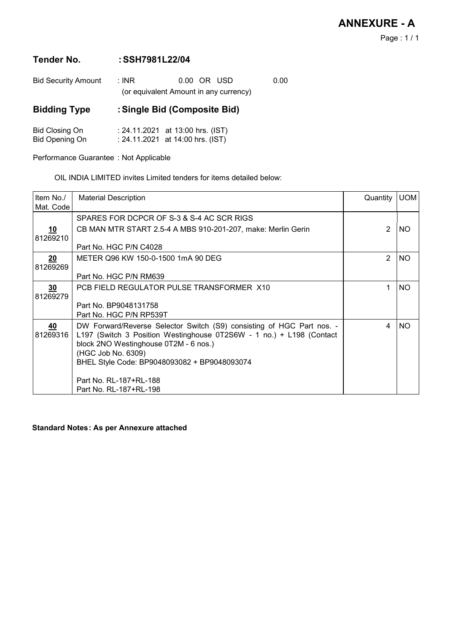Page : 1 / 1

# Tender No.:SSH7981L22/04

| <b>Bid Security Amount</b>                     | : INR | 0.00 OR USD<br>(or equivalent Amount in any currency)                | 0.00 |
|------------------------------------------------|-------|----------------------------------------------------------------------|------|
| <b>Bidding Type</b>                            |       | : Single Bid (Composite Bid)                                         |      |
| <b>Bid Closing On</b><br><b>Bid Opening On</b> |       | : 24.11.2021 at 13:00 hrs. (IST)<br>: 24.11.2021 at 14:00 hrs. (IST) |      |

Performance Guarantee : Not Applicable

OIL INDIA LIMITED invites Limited tenders for items detailed below:

| Item No./<br>Mat. Code      | <b>Material Description</b>                                                                                                                                                                                                                                                            | Quantity       | <b>UOM</b> |
|-----------------------------|----------------------------------------------------------------------------------------------------------------------------------------------------------------------------------------------------------------------------------------------------------------------------------------|----------------|------------|
|                             | SPARES FOR DCPCR OF S-3 & S-4 AC SCR RIGS                                                                                                                                                                                                                                              |                |            |
| <u>10</u><br>81269210       | CB MAN MTR START 2.5-4 A MBS 910-201-207, make: Merlin Gerin                                                                                                                                                                                                                           | $\overline{2}$ | NO.        |
|                             | Part No. HGC P/N C4028                                                                                                                                                                                                                                                                 |                |            |
| 20<br>81269269              | METER Q96 KW 150-0-1500 1mA 90 DEG                                                                                                                                                                                                                                                     | $\overline{2}$ | <b>NO</b>  |
|                             | Part No. HGC P/N RM639                                                                                                                                                                                                                                                                 |                |            |
| $\overline{30}$<br>81269279 | PCB FIELD REGULATOR PULSE TRANSFORMER X10                                                                                                                                                                                                                                              | 1              | NO.        |
|                             | Part No. BP9048131758<br>Part No. HGC P/N RP539T                                                                                                                                                                                                                                       |                |            |
| 40<br>81269316              | DW Forward/Reverse Selector Switch (S9) consisting of HGC Part nos. -<br>L197 (Switch 3 Position Westinghouse 0T2S6W - 1 no.) + L198 (Contact<br>block 2NO Westinghouse 0T2M - 6 nos.)<br>(HGC Job No. 6309)<br>BHEL Style Code: BP9048093082 + BP9048093074<br>Part No. RL-187+RL-188 | 4              | NO.        |
|                             | Part No. RL-187+RL-198                                                                                                                                                                                                                                                                 |                |            |

Standard Notes : **As per Annexure attached**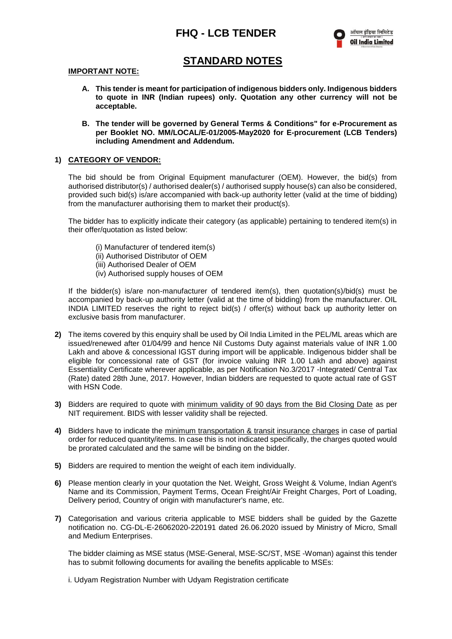

## **STANDARD NOTES**

#### **IMPORTANT NOTE:**

- **A. This tender is meant for participation of indigenous bidders only. Indigenous bidders to quote in INR (Indian rupees) only. Quotation any other currency will not be acceptable.**
- **B. The tender will be governed by General Terms & Conditions" for e-Procurement as per Booklet NO. MM/LOCAL/E-01/2005-May2020 for E-procurement (LCB Tenders) including Amendment and Addendum.**

#### **1) CATEGORY OF VENDOR:**

The bid should be from Original Equipment manufacturer (OEM). However, the bid(s) from authorised distributor(s) / authorised dealer(s) / authorised supply house(s) can also be considered, provided such bid(s) is/are accompanied with back-up authority letter (valid at the time of bidding) from the manufacturer authorising them to market their product(s).

The bidder has to explicitly indicate their category (as applicable) pertaining to tendered item(s) in their offer/quotation as listed below:

- (i) Manufacturer of tendered item(s)
- (ii) Authorised Distributor of OEM
- (iii) Authorised Dealer of OEM
- (iv) Authorised supply houses of OEM

If the bidder(s) is/are non-manufacturer of tendered item(s), then quotation(s)/bid(s) must be accompanied by back-up authority letter (valid at the time of bidding) from the manufacturer. OIL INDIA LIMITED reserves the right to reject bid(s) / offer(s) without back up authority letter on exclusive basis from manufacturer.

- **2)** The items covered by this enquiry shall be used by Oil India Limited in the PEL/ML areas which are issued/renewed after 01/04/99 and hence Nil Customs Duty against materials value of INR 1.00 Lakh and above & concessional IGST during import will be applicable. Indigenous bidder shall be eligible for concessional rate of GST (for invoice valuing INR 1.00 Lakh and above) against Essentiality Certificate wherever applicable, as per Notification No.3/2017 -Integrated/ Central Tax (Rate) dated 28th June, 2017. However, Indian bidders are requested to quote actual rate of GST with HSN Code.
- **3)** Bidders are required to quote with minimum validity of 90 days from the Bid Closing Date as per NIT requirement. BIDS with lesser validity shall be rejected.
- **4)** Bidders have to indicate the minimum transportation & transit insurance charges in case of partial order for reduced quantity/items. In case this is not indicated specifically, the charges quoted would be prorated calculated and the same will be binding on the bidder.
- **5)** Bidders are required to mention the weight of each item individually.
- **6)** Please mention clearly in your quotation the Net. Weight, Gross Weight & Volume, Indian Agent's Name and its Commission, Payment Terms, Ocean Freight/Air Freight Charges, Port of Loading, Delivery period, Country of origin with manufacturer's name, etc.
- **7)** Categorisation and various criteria applicable to MSE bidders shall be guided by the Gazette notification no. CG-DL-E-26062020-220191 dated 26.06.2020 issued by Ministry of Micro, Small and Medium Enterprises.

The bidder claiming as MSE status (MSE-General, MSE-SC/ST, MSE -Woman) against this tender has to submit following documents for availing the benefits applicable to MSEs:

i. Udyam Registration Number with Udyam Registration certificate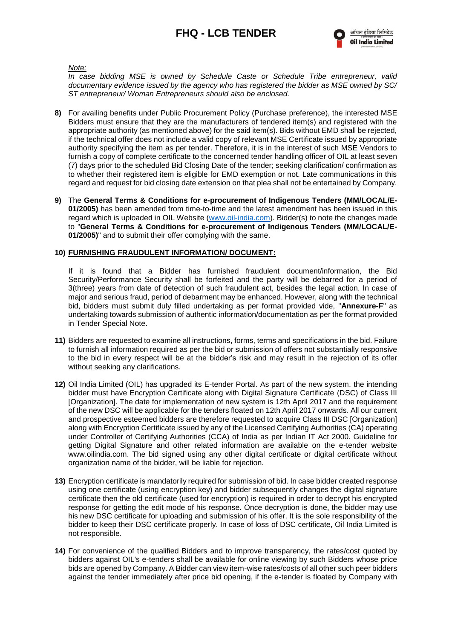*Note:* 

*In case bidding MSE is owned by Schedule Caste or Schedule Tribe entrepreneur, valid documentary evidence issued by the agency who has registered the bidder as MSE owned by SC/ ST entrepreneur/ Woman Entrepreneurs should also be enclosed.*

- **8)** For availing benefits under Public Procurement Policy (Purchase preference), the interested MSE Bidders must ensure that they are the manufacturers of tendered item(s) and registered with the appropriate authority (as mentioned above) for the said item(s). Bids without EMD shall be rejected, if the technical offer does not include a valid copy of relevant MSE Certificate issued by appropriate authority specifying the item as per tender. Therefore, it is in the interest of such MSE Vendors to furnish a copy of complete certificate to the concerned tender handling officer of OIL at least seven (7) days prior to the scheduled Bid Closing Date of the tender; seeking clarification/ confirmation as to whether their registered item is eligible for EMD exemption or not. Late communications in this regard and request for bid closing date extension on that plea shall not be entertained by Company.
- **9)** The **General Terms & Conditions for e-procurement of Indigenous Tenders (MM/LOCAL/E-01/2005)** has been amended from time-to-time and the latest amendment has been issued in this regard which is uploaded in OIL Website [\(www.oil-india.com\)](http://www.oil-india.com/). Bidder(s) to note the changes made to "**General Terms & Conditions for e-procurement of Indigenous Tenders (MM/LOCAL/E-01/2005)**" and to submit their offer complying with the same.

#### **10) FURNISHING FRAUDULENT INFORMATION/ DOCUMENT:**

If it is found that a Bidder has furnished fraudulent document/information, the Bid Security/Performance Security shall be forfeited and the party will be debarred for a period of 3(three) years from date of detection of such fraudulent act, besides the legal action. In case of major and serious fraud, period of debarment may be enhanced. However, along with the technical bid, bidders must submit duly filled undertaking as per format provided vide, "**Annexure-F**" as undertaking towards submission of authentic information/documentation as per the format provided in Tender Special Note.

- **11)** Bidders are requested to examine all instructions, forms, terms and specifications in the bid. Failure to furnish all information required as per the bid or submission of offers not substantially responsive to the bid in every respect will be at the bidder's risk and may result in the rejection of its offer without seeking any clarifications.
- **12)** Oil India Limited (OIL) has upgraded its E-tender Portal. As part of the new system, the intending bidder must have Encryption Certificate along with Digital Signature Certificate (DSC) of Class III [Organization]. The date for implementation of new system is 12th April 2017 and the requirement of the new DSC will be applicable for the tenders floated on 12th April 2017 onwards. All our current and prospective esteemed bidders are therefore requested to acquire Class III DSC [Organization] along with Encryption Certificate issued by any of the Licensed Certifying Authorities (CA) operating under Controller of Certifying Authorities (CCA) of India as per Indian IT Act 2000. Guideline for getting Digital Signature and other related information are available on the e-tender website www.oilindia.com. The bid signed using any other digital certificate or digital certificate without organization name of the bidder, will be liable for rejection.
- **13)** Encryption certificate is mandatorily required for submission of bid. In case bidder created response using one certificate (using encryption key) and bidder subsequently changes the digital signature certificate then the old certificate (used for encryption) is required in order to decrypt his encrypted response for getting the edit mode of his response. Once decryption is done, the bidder may use his new DSC certificate for uploading and submission of his offer. It is the sole responsibility of the bidder to keep their DSC certificate properly. In case of loss of DSC certificate, Oil India Limited is not responsible.
- **14)** For convenience of the qualified Bidders and to improve transparency, the rates/cost quoted by bidders against OIL's e-tenders shall be available for online viewing by such Bidders whose price bids are opened by Company. A Bidder can view item-wise rates/costs of all other such peer bidders against the tender immediately after price bid opening, if the e-tender is floated by Company with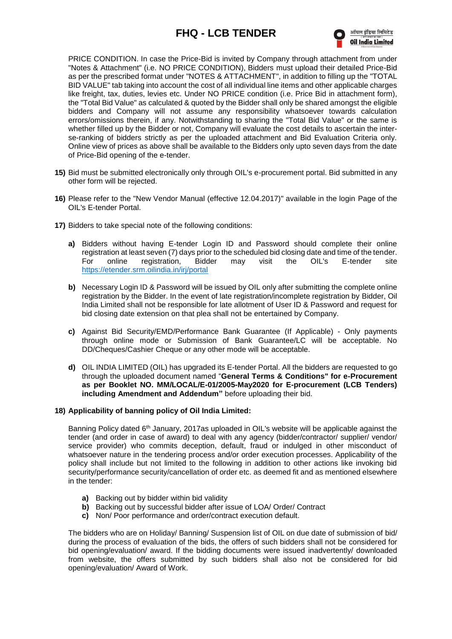

PRICE CONDITION. In case the Price-Bid is invited by Company through attachment from under "Notes & Attachment" (i.e. NO PRICE CONDITION), Bidders must upload their detailed Price-Bid as per the prescribed format under "NOTES & ATTACHMENT", in addition to filling up the "TOTAL BID VALUE" tab taking into account the cost of all individual line items and other applicable charges like freight, tax, duties, levies etc. Under NO PRICE condition (i.e. Price Bid in attachment form), the "Total Bid Value" as calculated & quoted by the Bidder shall only be shared amongst the eligible bidders and Company will not assume any responsibility whatsoever towards calculation errors/omissions therein, if any. Notwithstanding to sharing the "Total Bid Value" or the same is whether filled up by the Bidder or not, Company will evaluate the cost details to ascertain the interse-ranking of bidders strictly as per the uploaded attachment and Bid Evaluation Criteria only. Online view of prices as above shall be available to the Bidders only upto seven days from the date of Price-Bid opening of the e-tender.

- **15)** Bid must be submitted electronically only through OIL's e-procurement portal. Bid submitted in any other form will be rejected.
- **16)** Please refer to the "New Vendor Manual (effective 12.04.2017)" available in the login Page of the OIL's E-tender Portal.
- **17)** Bidders to take special note of the following conditions:
	- **a)** Bidders without having E-tender Login ID and Password should complete their online registration at least seven (7) days prior to the scheduled bid closing date and time of the tender. For online registration, Bidder may visit the OIL's E-tender site <https://etender.srm.oilindia.in/irj/portal>
	- **b)** Necessary Login ID & Password will be issued by OIL only after submitting the complete online registration by the Bidder. In the event of late registration/incomplete registration by Bidder, Oil India Limited shall not be responsible for late allotment of User ID & Password and request for bid closing date extension on that plea shall not be entertained by Company.
	- **c)** Against Bid Security/EMD/Performance Bank Guarantee (If Applicable) Only payments through online mode or Submission of Bank Guarantee/LC will be acceptable. No DD/Cheques/Cashier Cheque or any other mode will be acceptable.
	- **d)** OIL INDIA LIMITED (OIL) has upgraded its E-tender Portal. All the bidders are requested to go through the uploaded document named "**General Terms & Conditions" for e-Procurement as per Booklet NO. MM/LOCAL/E-01/2005-May2020 for E-procurement (LCB Tenders) including Amendment and Addendum"** before uploading their bid.

#### **18) Applicability of banning policy of Oil India Limited:**

Banning Policy dated 6<sup>th</sup> January, 2017as uploaded in OIL's website will be applicable against the tender (and order in case of award) to deal with any agency (bidder/contractor/ supplier/ vendor/ service provider) who commits deception, default, fraud or indulged in other misconduct of whatsoever nature in the tendering process and/or order execution processes. Applicability of the policy shall include but not limited to the following in addition to other actions like invoking bid security/performance security/cancellation of order etc. as deemed fit and as mentioned elsewhere in the tender:

- **a)** Backing out by bidder within bid validity
- **b)** Backing out by successful bidder after issue of LOA/ Order/ Contract
- **c)** Non/ Poor performance and order/contract execution default.

The bidders who are on Holiday/ Banning/ Suspension list of OIL on due date of submission of bid/ during the process of evaluation of the bids, the offers of such bidders shall not be considered for bid opening/evaluation/ award. If the bidding documents were issued inadvertently/ downloaded from website, the offers submitted by such bidders shall also not be considered for bid opening/evaluation/ Award of Work.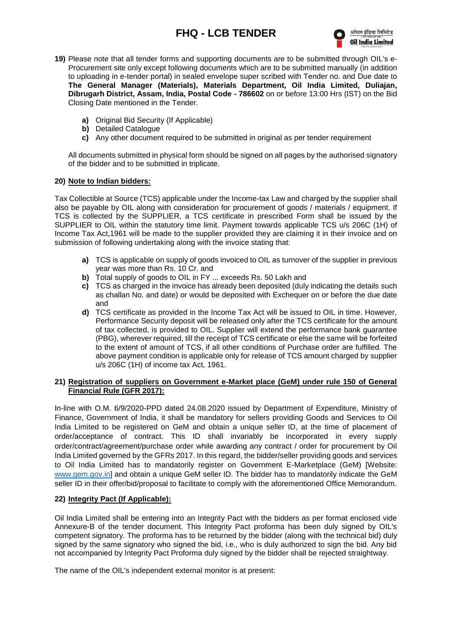

- **19)** Please note that all tender forms and supporting documents are to be submitted through OIL's e-Procurement site only except following documents which are to be submitted manually (in addition to uploading in e-tender portal) in sealed envelope super scribed with Tender no. and Due date to **The General Manager (Materials), Materials Department, Oil India Limited, Duliajan, Dibrugarh District, Assam, India, Postal Code - 786602** on or before 13:00 Hrs (IST) on the Bid Closing Date mentioned in the Tender.
	- **a)** Original Bid Security (If Applicable)
	- **b)** Detailed Catalogue
	- **c)** Any other document required to be submitted in original as per tender requirement

All documents submitted in physical form should be signed on all pages by the authorised signatory of the bidder and to be submitted in triplicate.

#### **20) Note to Indian bidders:**

Tax Collectible at Source (TCS) applicable under the Income-tax Law and charged by the supplier shall also be payable by OIL along with consideration for procurement of goods / materials / equipment. If TCS is collected by the SUPPLIER, a TCS certificate in prescribed Form shall be issued by the SUPPLIER to OIL within the statutory time limit. Payment towards applicable TCS u/s 206C (1H) of Income Tax Act,1961 will be made to the supplier provided they are claiming it in their invoice and on submission of following undertaking along with the invoice stating that:

- **a)** TCS is applicable on supply of goods invoiced to OIL as turnover of the supplier in previous year was more than Rs. 10 Cr. and
- **b)** Total supply of goods to OIL in FY ... exceeds Rs. 50 Lakh and
- **c)** TCS as charged in the invoice has already been deposited (duly indicating the details such as challan No. and date) or would be deposited with Exchequer on or before the due date and
- **d)** TCS certificate as provided in the Income Tax Act will be issued to OIL in time. However, Performance Security deposit will be released only after the TCS certificate for the amount of tax collected, is provided to OIL. Supplier will extend the performance bank guarantee (PBG), wherever required, till the receipt of TCS certificate or else the same will be forfeited to the extent of amount of TCS, if all other conditions of Purchase order are fulfilled. The above payment condition is applicable only for release of TCS amount charged by supplier u/s 206C (1H) of income tax Act, 1961.

#### **21) Registration of suppliers on Government e-Market place (GeM) under rule 150 of General Financial Rule (GFR 2017):**

In-line with O.M. 6/9/2020-PPD dated 24.08.2020 issued by Department of Expenditure, Ministry of Finance, Government of India, it shall be mandatory for sellers providing Goods and Services to Oil India Limited to be registered on GeM and obtain a unique seller ID, at the time of placement of order/acceptance of contract. This ID shall invariably be incorporated in every supply order/contract/agreement/purchase order while awarding any contract / order for procurement by Oil India Limited governed by the GFRs 2017. In this regard, the bidder/seller providing goods and services to Oil India Limited has to mandatorily register on Government E-Marketplace (GeM) [Website: [www.gem.gov.in\]](http://www.gem.gov.in/) and obtain a unique GeM seller ID. The bidder has to mandatorily indicate the GeM seller ID in their offer/bid/proposal to facilitate to comply with the aforementioned Office Memorandum.

#### **22) Integrity Pact (If Applicable):**

Oil India Limited shall be entering into an Integrity Pact with the bidders as per format enclosed vide Annexure-B of the tender document. This Integrity Pact proforma has been duly signed by OIL's competent signatory. The proforma has to be returned by the bidder (along with the technical bid) duly signed by the same signatory who signed the bid, i.e., who is duly authorized to sign the bid. Any bid not accompanied by Integrity Pact Proforma duly signed by the bidder shall be rejected straightway.

The name of the OIL's independent external monitor is at present: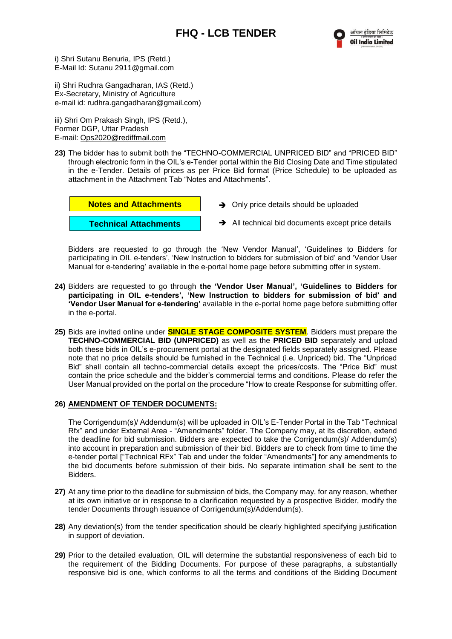i) Shri Sutanu Benuria, IPS (Retd.) E-Mail Id: Sutanu 2911@gmail.com

ii) Shri Rudhra Gangadharan, IAS (Retd.) Ex-Secretary, Ministry of Agriculture e-mail id: rudhra.gangadharan@gmail.com)

iii) Shri Om Prakash Singh, IPS (Retd.), Former DGP, Uttar Pradesh E-mail: [Ops2020@rediffmail.com](mailto:Ops2020@rediffmail.com)

**23)** The bidder has to submit both the "TECHNO-COMMERCIAL UNPRICED BID" and "PRICED BID" through electronic form in the OIL's e-Tender portal within the Bid Closing Date and Time stipulated in the e-Tender. Details of prices as per Price Bid format (Price Schedule) to be uploaded as attachment in the Attachment Tab "Notes and Attachments".



- **→** Only price details should be uploaded
- **→** All technical bid documents except price details

Bidders are requested to go through the 'New Vendor Manual', 'Guidelines to Bidders for participating in OIL e-tenders', 'New Instruction to bidders for submission of bid' and 'Vendor User Manual for e-tendering' available in the e-portal home page before submitting offer in system.

- **24)** Bidders are requested to go through **the 'Vendor User Manual', 'Guidelines to Bidders for participating in OIL e-tenders', 'New Instruction to bidders for submission of bid' and 'Vendor User Manual for e-tendering'** available in the e-portal home page before submitting offer in the e-portal.
- **25)** Bids are invited online under **SINGLE STAGE COMPOSITE SYSTEM**. Bidders must prepare the **TECHNO-COMMERCIAL BID (UNPRICED)** as well as the **PRICED BID** separately and upload both these bids in OIL's e-procurement portal at the designated fields separately assigned. Please note that no price details should be furnished in the Technical (i.e. Unpriced) bid. The "Unpriced Bid" shall contain all techno-commercial details except the prices/costs. The "Price Bid" must contain the price schedule and the bidder's commercial terms and conditions. Please do refer the User Manual provided on the portal on the procedure "How to create Response for submitting offer.

#### **26) AMENDMENT OF TENDER DOCUMENTS:**

The Corrigendum(s)/ Addendum(s) will be uploaded in OIL's E-Tender Portal in the Tab "Technical Rfx" and under External Area - "Amendments" folder. The Company may, at its discretion, extend the deadline for bid submission. Bidders are expected to take the Corrigendum(s)/ Addendum(s) into account in preparation and submission of their bid. Bidders are to check from time to time the e-tender portal ["Technical RFx" Tab and under the folder "Amendments"] for any amendments to the bid documents before submission of their bids. No separate intimation shall be sent to the Bidders.

- **27)** At any time prior to the deadline for submission of bids, the Company may, for any reason, whether at its own initiative or in response to a clarification requested by a prospective Bidder, modify the tender Documents through issuance of Corrigendum(s)/Addendum(s).
- **28)** Any deviation(s) from the tender specification should be clearly highlighted specifying justification in support of deviation.
- **29)** Prior to the detailed evaluation, OIL will determine the substantial responsiveness of each bid to the requirement of the Bidding Documents. For purpose of these paragraphs, a substantially responsive bid is one, which conforms to all the terms and conditions of the Bidding Document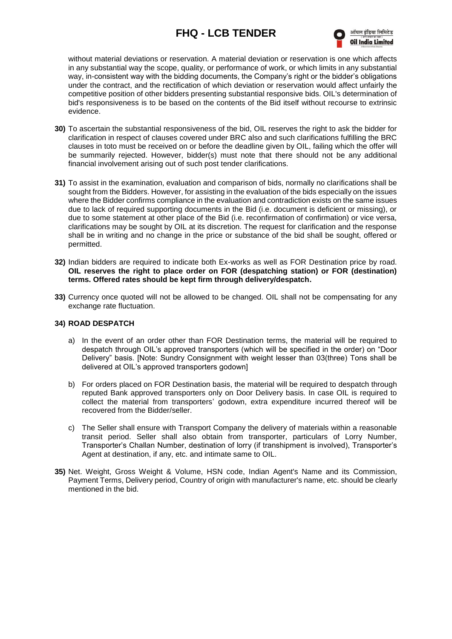

without material deviations or reservation. A material deviation or reservation is one which affects in any substantial way the scope, quality, or performance of work, or which limits in any substantial way, in-consistent way with the bidding documents, the Company's right or the bidder's obligations under the contract, and the rectification of which deviation or reservation would affect unfairly the competitive position of other bidders presenting substantial responsive bids. OIL's determination of bid's responsiveness is to be based on the contents of the Bid itself without recourse to extrinsic evidence.

- **30)** To ascertain the substantial responsiveness of the bid, OIL reserves the right to ask the bidder for clarification in respect of clauses covered under BRC also and such clarifications fulfilling the BRC clauses in toto must be received on or before the deadline given by OIL, failing which the offer will be summarily rejected. However, bidder(s) must note that there should not be any additional financial involvement arising out of such post tender clarifications.
- **31)** To assist in the examination, evaluation and comparison of bids, normally no clarifications shall be sought from the Bidders. However, for assisting in the evaluation of the bids especially on the issues where the Bidder confirms compliance in the evaluation and contradiction exists on the same issues due to lack of required supporting documents in the Bid (i.e. document is deficient or missing), or due to some statement at other place of the Bid (i.e. reconfirmation of confirmation) or vice versa, clarifications may be sought by OIL at its discretion. The request for clarification and the response shall be in writing and no change in the price or substance of the bid shall be sought, offered or permitted.
- **32)** Indian bidders are required to indicate both Ex-works as well as FOR Destination price by road. **OIL reserves the right to place order on FOR (despatching station) or FOR (destination) terms. Offered rates should be kept firm through delivery/despatch.**
- **33)** Currency once quoted will not be allowed to be changed. OIL shall not be compensating for any exchange rate fluctuation.

#### **34) ROAD DESPATCH**

- a) In the event of an order other than FOR Destination terms, the material will be required to despatch through OIL's approved transporters (which will be specified in the order) on "Door Delivery" basis. [Note: Sundry Consignment with weight lesser than 03(three) Tons shall be delivered at OIL's approved transporters godown]
- b) For orders placed on FOR Destination basis, the material will be required to despatch through reputed Bank approved transporters only on Door Delivery basis. In case OIL is required to collect the material from transporters' godown, extra expenditure incurred thereof will be recovered from the Bidder/seller.
- c) The Seller shall ensure with Transport Company the delivery of materials within a reasonable transit period. Seller shall also obtain from transporter, particulars of Lorry Number, Transporter's Challan Number, destination of lorry (if transhipment is involved), Transporter's Agent at destination, if any, etc. and intimate same to OIL.
- **35)** Net. Weight, Gross Weight & Volume, HSN code, Indian Agent's Name and its Commission, Payment Terms, Delivery period, Country of origin with manufacturer's name, etc. should be clearly mentioned in the bid.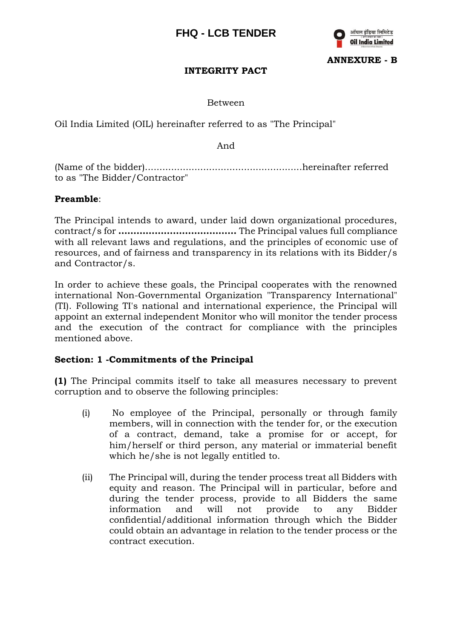

**ANNEXURE - B**

## **INTEGRITY PACT**

Between

Oil India Limited (OIL) hereinafter referred to as "The Principal"

And

(Name of the bidder)......................................................hereinafter referred to as "The Bidder/Contractor"

#### **Preamble**:

The Principal intends to award, under laid down organizational procedures, contract/s for **…………………………………** The Principal values full compliance with all relevant laws and regulations, and the principles of economic use of resources, and of fairness and transparency in its relations with its Bidder/s and Contractor/s.

In order to achieve these goals, the Principal cooperates with the renowned international Non-Governmental Organization "Transparency International" (TI). Following TI's national and international experience, the Principal will appoint an external independent Monitor who will monitor the tender process and the execution of the contract for compliance with the principles mentioned above.

#### **Section: 1 -Commitments of the Principal**

**(1)** The Principal commits itself to take all measures necessary to prevent corruption and to observe the following principles:

- (i) No employee of the Principal, personally or through family members, will in connection with the tender for, or the execution of a contract, demand, take a promise for or accept, for him/herself or third person, any material or immaterial benefit which he/she is not legally entitled to.
- (ii) The Principal will, during the tender process treat all Bidders with equity and reason. The Principal will in particular, before and during the tender process, provide to all Bidders the same information and will not provide to any Bidder confidential/additional information through which the Bidder could obtain an advantage in relation to the tender process or the contract execution.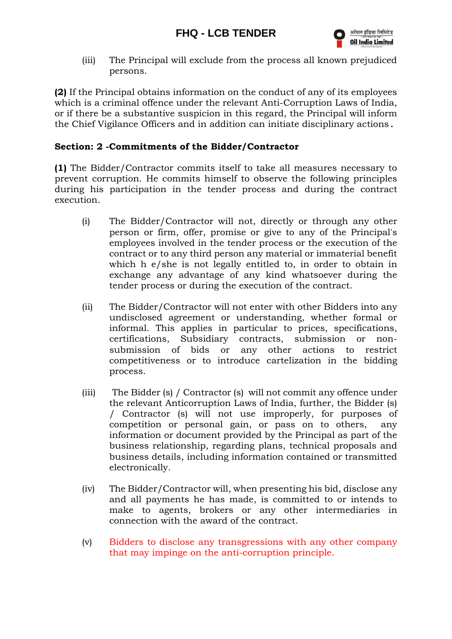(iii) The Principal will exclude from the process all known prejudiced persons.

**(2)** If the Principal obtains information on the conduct of any of its employees which is a criminal offence under the relevant Anti-Corruption Laws of India, or if there be a substantive suspicion in this regard, the Principal will inform the Chief Vigilance Officers and in addition can initiate disciplinary actions.

## **Section: 2 -Commitments of the Bidder/Contractor**

**(1)** The Bidder/Contractor commits itself to take all measures necessary to prevent corruption. He commits himself to observe the following principles during his participation in the tender process and during the contract execution.

- (i) The Bidder/Contractor will not, directly or through any other person or firm, offer, promise or give to any of the Principal's employees involved in the tender process or the execution of the contract or to any third person any material or immaterial benefit which h e/she is not legally entitled to, in order to obtain in exchange any advantage of any kind whatsoever during the tender process or during the execution of the contract.
- (ii) The Bidder/Contractor will not enter with other Bidders into any undisclosed agreement or understanding, whether formal or informal. This applies in particular to prices, specifications, certifications, Subsidiary contracts, submission or nonsubmission of bids or any other actions to restrict competitiveness or to introduce cartelization in the bidding process.
- (iii) The Bidder (s) / Contractor (s) will not commit any offence under the relevant Anticorruption Laws of India, further, the Bidder (s) / Contractor (s) will not use improperly, for purposes of competition or personal gain, or pass on to others, any information or document provided by the Principal as part of the business relationship, regarding plans, technical proposals and business details, including information contained or transmitted electronically.
- (iv) The Bidder/Contractor will, when presenting his bid, disclose any and all payments he has made, is committed to or intends to make to agents, brokers or any other intermediaries in connection with the award of the contract.
- (v) Bidders to disclose any transgressions with any other company that may impinge on the anti-corruption principle.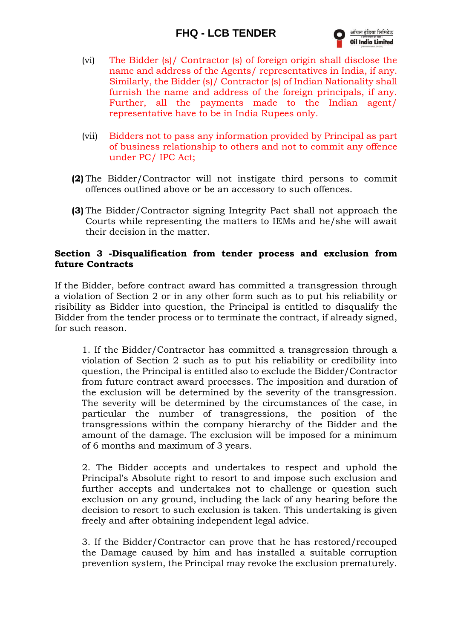

- (vi) The Bidder (s)/ Contractor (s) of foreign origin shall disclose the name and address of the Agents/ representatives in India, if any. Similarly, the Bidder (s)/ Contractor (s) of Indian Nationality shall furnish the name and address of the foreign principals, if any. Further, all the payments made to the Indian agent/ representative have to be in India Rupees only.
- (vii) Bidders not to pass any information provided by Principal as part of business relationship to others and not to commit any offence under PC/ IPC Act;
- **(2)** The Bidder/Contractor will not instigate third persons to commit offences outlined above or be an accessory to such offences.
- **(3)** The Bidder/Contractor signing Integrity Pact shall not approach the Courts while representing the matters to IEMs and he/she will await their decision in the matter.

#### **Section 3 -Disqualification from tender process and exclusion from future Contracts**

If the Bidder, before contract award has committed a transgression through a violation of Section 2 or in any other form such as to put his reliability or risibility as Bidder into question, the Principal is entitled to disqualify the Bidder from the tender process or to terminate the contract, if already signed, for such reason.

1. If the Bidder/Contractor has committed a transgression through a violation of Section 2 such as to put his reliability or credibility into question, the Principal is entitled also to exclude the Bidder/Contractor from future contract award processes. The imposition and duration of the exclusion will be determined by the severity of the transgression. The severity will be determined by the circumstances of the case, in particular the number of transgressions, the position of the transgressions within the company hierarchy of the Bidder and the amount of the damage. The exclusion will be imposed for a minimum of 6 months and maximum of 3 years.

2. The Bidder accepts and undertakes to respect and uphold the Principal's Absolute right to resort to and impose such exclusion and further accepts and undertakes not to challenge or question such exclusion on any ground, including the lack of any hearing before the decision to resort to such exclusion is taken. This undertaking is given freely and after obtaining independent legal advice.

3. If the Bidder/Contractor can prove that he has restored/recouped the Damage caused by him and has installed a suitable corruption prevention system, the Principal may revoke the exclusion prematurely.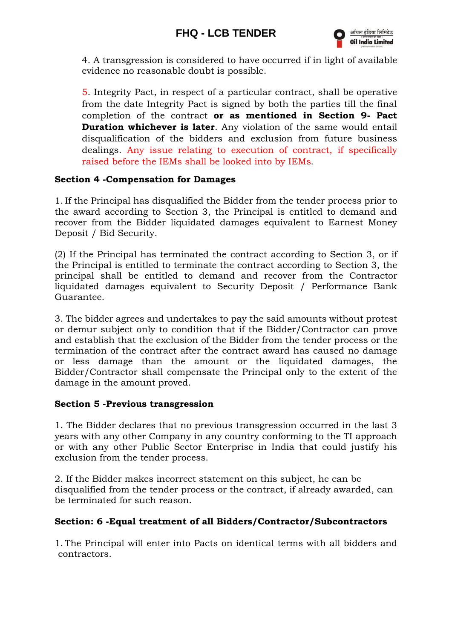

4. A transgression is considered to have occurred if in light of available evidence no reasonable doubt is possible.

5. Integrity Pact, in respect of a particular contract, shall be operative from the date Integrity Pact is signed by both the parties till the final completion of the contract **or as mentioned in Section 9- Pact Duration whichever is later**. Any violation of the same would entail disqualification of the bidders and exclusion from future business dealings. Any issue relating to execution of contract, if specifically raised before the IEMs shall be looked into by IEMs.

## **Section 4 -Compensation for Damages**

1. If the Principal has disqualified the Bidder from the tender process prior to the award according to Section 3, the Principal is entitled to demand and recover from the Bidder liquidated damages equivalent to Earnest Money Deposit / Bid Security.

(2) If the Principal has terminated the contract according to Section 3, or if the Principal is entitled to terminate the contract according to Section 3, the principal shall be entitled to demand and recover from the Contractor liquidated damages equivalent to Security Deposit / Performance Bank Guarantee.

3. The bidder agrees and undertakes to pay the said amounts without protest or demur subject only to condition that if the Bidder/Contractor can prove and establish that the exclusion of the Bidder from the tender process or the termination of the contract after the contract award has caused no damage or less damage than the amount or the liquidated damages, the Bidder/Contractor shall compensate the Principal only to the extent of the damage in the amount proved.

## **Section 5 -Previous transgression**

1. The Bidder declares that no previous transgression occurred in the last 3 years with any other Company in any country conforming to the TI approach or with any other Public Sector Enterprise in India that could justify his exclusion from the tender process.

2. If the Bidder makes incorrect statement on this subject, he can be disqualified from the tender process or the contract, if already awarded, can be terminated for such reason.

## **Section: 6 -Equal treatment of all Bidders/Contractor/Subcontractors**

1. The Principal will enter into Pacts on identical terms with all bidders and contractors.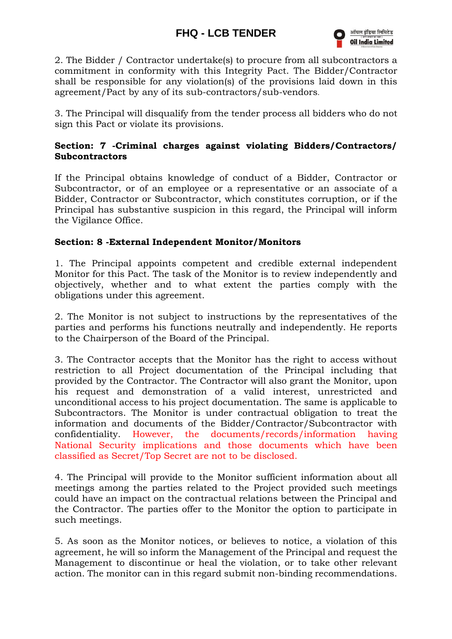

2. The Bidder / Contractor undertake(s) to procure from all subcontractors a commitment in conformity with this Integrity Pact. The Bidder/Contractor shall be responsible for any violation(s) of the provisions laid down in this agreement/Pact by any of its sub-contractors/sub-vendors.

3. The Principal will disqualify from the tender process all bidders who do not sign this Pact or violate its provisions.

## **Section: 7 -Criminal charges against violating Bidders/Contractors/ Subcontractors**

If the Principal obtains knowledge of conduct of a Bidder, Contractor or Subcontractor, or of an employee or a representative or an associate of a Bidder, Contractor or Subcontractor, which constitutes corruption, or if the Principal has substantive suspicion in this regard, the Principal will inform the Vigilance Office.

#### **Section: 8 -External Independent Monitor/Monitors**

1. The Principal appoints competent and credible external independent Monitor for this Pact. The task of the Monitor is to review independently and objectively, whether and to what extent the parties comply with the obligations under this agreement.

2. The Monitor is not subject to instructions by the representatives of the parties and performs his functions neutrally and independently. He reports to the Chairperson of the Board of the Principal.

3. The Contractor accepts that the Monitor has the right to access without restriction to all Project documentation of the Principal including that provided by the Contractor. The Contractor will also grant the Monitor, upon his request and demonstration of a valid interest, unrestricted and unconditional access to his project documentation. The same is applicable to Subcontractors. The Monitor is under contractual obligation to treat the information and documents of the Bidder/Contractor/Subcontractor with confidentiality. However, the documents/records/information having National Security implications and those documents which have been classified as Secret/Top Secret are not to be disclosed.

4. The Principal will provide to the Monitor sufficient information about all meetings among the parties related to the Project provided such meetings could have an impact on the contractual relations between the Principal and the Contractor. The parties offer to the Monitor the option to participate in such meetings.

5. As soon as the Monitor notices, or believes to notice, a violation of this agreement, he will so inform the Management of the Principal and request the Management to discontinue or heal the violation, or to take other relevant action. The monitor can in this regard submit non-binding recommendations.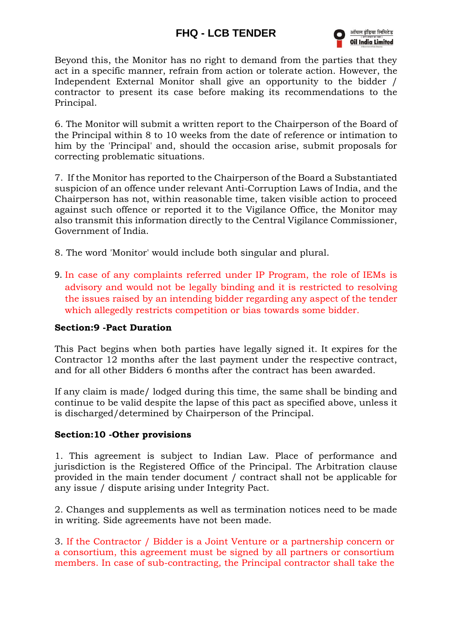

Beyond this, the Monitor has no right to demand from the parties that they act in a specific manner, refrain from action or tolerate action. However, the Independent External Monitor shall give an opportunity to the bidder / contractor to present its case before making its recommendations to the Principal.

6. The Monitor will submit a written report to the Chairperson of the Board of the Principal within 8 to 10 weeks from the date of reference or intimation to him by the 'Principal' and, should the occasion arise, submit proposals for correcting problematic situations.

7. If the Monitor has reported to the Chairperson of the Board a Substantiated suspicion of an offence under relevant Anti-Corruption Laws of India, and the Chairperson has not, within reasonable time, taken visible action to proceed against such offence or reported it to the Vigilance Office, the Monitor may also transmit this information directly to the Central Vigilance Commissioner, Government of India.

- 8. The word 'Monitor' would include both singular and plural.
- 9. In case of any complaints referred under IP Program, the role of IEMs is advisory and would not be legally binding and it is restricted to resolving the issues raised by an intending bidder regarding any aspect of the tender which allegedly restricts competition or bias towards some bidder.

#### **Section:9 -Pact Duration**

This Pact begins when both parties have legally signed it. It expires for the Contractor 12 months after the last payment under the respective contract, and for all other Bidders 6 months after the contract has been awarded.

If any claim is made/ lodged during this time, the same shall be binding and continue to be valid despite the lapse of this pact as specified above, unless it is discharged/determined by Chairperson of the Principal.

#### **Section:10 -Other provisions**

1. This agreement is subject to Indian Law. Place of performance and jurisdiction is the Registered Office of the Principal. The Arbitration clause provided in the main tender document / contract shall not be applicable for any issue / dispute arising under Integrity Pact.

2. Changes and supplements as well as termination notices need to be made in writing. Side agreements have not been made.

3. If the Contractor / Bidder is a Joint Venture or a partnership concern or a consortium, this agreement must be signed by all partners or consortium members. In case of sub-contracting, the Principal contractor shall take the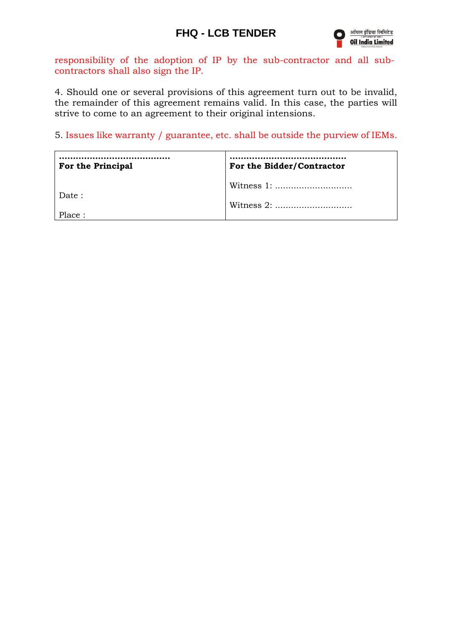

responsibility of the adoption of IP by the sub-contractor and all subcontractors shall also sign the IP.

4. Should one or several provisions of this agreement turn out to be invalid, the remainder of this agreement remains valid. In this case, the parties will strive to come to an agreement to their original intensions.

5. Issues like warranty / guarantee, etc. shall be outside the purview of IEMs.

| <b>For the Principal</b> | For the Bidder/Contractor |
|--------------------------|---------------------------|
| Date:                    |                           |
| Place:                   | Witness $2:$              |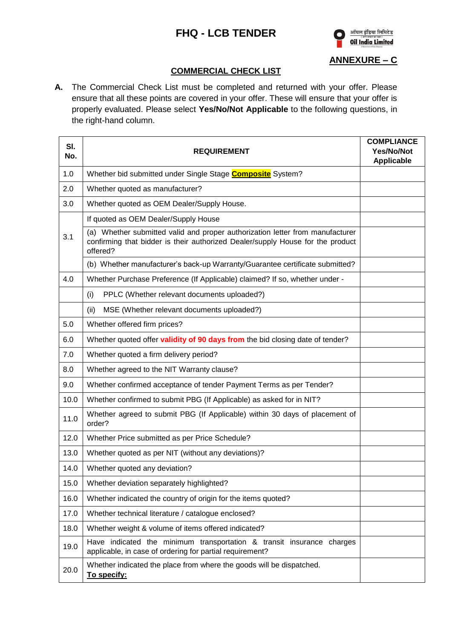

**ANNEXURE – C**

## **COMMERCIAL CHECK LIST**

**A.** The Commercial Check List must be completed and returned with your offer. Please ensure that all these points are covered in your offer. These will ensure that your offer is properly evaluated. Please select **Yes/No/Not Applicable** to the following questions, in the right-hand column.

| SI.<br>No. | <b>REQUIREMENT</b>                                                                                                                                                          | <b>COMPLIANCE</b><br><b>Yes/No/Not</b><br><b>Applicable</b> |
|------------|-----------------------------------------------------------------------------------------------------------------------------------------------------------------------------|-------------------------------------------------------------|
| 1.0        | Whether bid submitted under Single Stage <b>Composite</b> System?                                                                                                           |                                                             |
| 2.0        | Whether quoted as manufacturer?                                                                                                                                             |                                                             |
| 3.0        | Whether quoted as OEM Dealer/Supply House.                                                                                                                                  |                                                             |
|            | If quoted as OEM Dealer/Supply House                                                                                                                                        |                                                             |
| 3.1        | (a) Whether submitted valid and proper authorization letter from manufacturer<br>confirming that bidder is their authorized Dealer/supply House for the product<br>offered? |                                                             |
|            | (b) Whether manufacturer's back-up Warranty/Guarantee certificate submitted?                                                                                                |                                                             |
| 4.0        | Whether Purchase Preference (If Applicable) claimed? If so, whether under -                                                                                                 |                                                             |
|            | (i)<br>PPLC (Whether relevant documents uploaded?)                                                                                                                          |                                                             |
|            | MSE (Whether relevant documents uploaded?)<br>(ii)                                                                                                                          |                                                             |
| 5.0        | Whether offered firm prices?                                                                                                                                                |                                                             |
| 6.0        | Whether quoted offer validity of 90 days from the bid closing date of tender?                                                                                               |                                                             |
| 7.0        | Whether quoted a firm delivery period?                                                                                                                                      |                                                             |
| 8.0        | Whether agreed to the NIT Warranty clause?                                                                                                                                  |                                                             |
| 9.0        | Whether confirmed acceptance of tender Payment Terms as per Tender?                                                                                                         |                                                             |
| 10.0       | Whether confirmed to submit PBG (If Applicable) as asked for in NIT?                                                                                                        |                                                             |
| 11.0       | Whether agreed to submit PBG (If Applicable) within 30 days of placement of<br>order?                                                                                       |                                                             |
| 12.0       | Whether Price submitted as per Price Schedule?                                                                                                                              |                                                             |
| 13.0       | Whether quoted as per NIT (without any deviations)?                                                                                                                         |                                                             |
| 14.0       | Whether quoted any deviation?                                                                                                                                               |                                                             |
| 15.0       | Whether deviation separately highlighted?                                                                                                                                   |                                                             |
| 16.0       | Whether indicated the country of origin for the items quoted?                                                                                                               |                                                             |
| 17.0       | Whether technical literature / catalogue enclosed?                                                                                                                          |                                                             |
| 18.0       | Whether weight & volume of items offered indicated?                                                                                                                         |                                                             |
| 19.0       | Have indicated the minimum transportation & transit insurance charges<br>applicable, in case of ordering for partial requirement?                                           |                                                             |
| 20.0       | Whether indicated the place from where the goods will be dispatched.<br>To specify:                                                                                         |                                                             |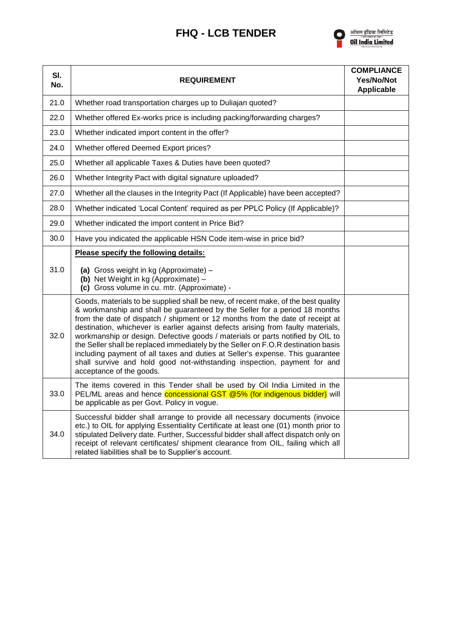

| SI.<br>No. | <b>REQUIREMENT</b>                                                                                                                                                                                                                                                                                                                                                                                                                                                                                                                                                                                                                                                                                   | <b>COMPLIANCE</b><br>Yes/No/Not<br><b>Applicable</b> |
|------------|------------------------------------------------------------------------------------------------------------------------------------------------------------------------------------------------------------------------------------------------------------------------------------------------------------------------------------------------------------------------------------------------------------------------------------------------------------------------------------------------------------------------------------------------------------------------------------------------------------------------------------------------------------------------------------------------------|------------------------------------------------------|
| 21.0       | Whether road transportation charges up to Duliajan quoted?                                                                                                                                                                                                                                                                                                                                                                                                                                                                                                                                                                                                                                           |                                                      |
| 22.0       | Whether offered Ex-works price is including packing/forwarding charges?                                                                                                                                                                                                                                                                                                                                                                                                                                                                                                                                                                                                                              |                                                      |
| 23.0       | Whether indicated import content in the offer?                                                                                                                                                                                                                                                                                                                                                                                                                                                                                                                                                                                                                                                       |                                                      |
| 24.0       | Whether offered Deemed Export prices?                                                                                                                                                                                                                                                                                                                                                                                                                                                                                                                                                                                                                                                                |                                                      |
| 25.0       | Whether all applicable Taxes & Duties have been quoted?                                                                                                                                                                                                                                                                                                                                                                                                                                                                                                                                                                                                                                              |                                                      |
| 26.0       | Whether Integrity Pact with digital signature uploaded?                                                                                                                                                                                                                                                                                                                                                                                                                                                                                                                                                                                                                                              |                                                      |
| 27.0       | Whether all the clauses in the Integrity Pact (If Applicable) have been accepted?                                                                                                                                                                                                                                                                                                                                                                                                                                                                                                                                                                                                                    |                                                      |
| 28.0       | Whether indicated 'Local Content' required as per PPLC Policy (If Applicable)?                                                                                                                                                                                                                                                                                                                                                                                                                                                                                                                                                                                                                       |                                                      |
| 29.0       | Whether indicated the import content in Price Bid?                                                                                                                                                                                                                                                                                                                                                                                                                                                                                                                                                                                                                                                   |                                                      |
| 30.0       | Have you indicated the applicable HSN Code item-wise in price bid?                                                                                                                                                                                                                                                                                                                                                                                                                                                                                                                                                                                                                                   |                                                      |
| 31.0       | Please specify the following details:<br>(a) Gross weight in kg (Approximate) -<br>(b) Net Weight in kg (Approximate) -<br>(c) Gross volume in cu. mtr. (Approximate) -                                                                                                                                                                                                                                                                                                                                                                                                                                                                                                                              |                                                      |
| 32.0       | Goods, materials to be supplied shall be new, of recent make, of the best quality<br>& workmanship and shall be guaranteed by the Seller for a period 18 months<br>from the date of dispatch / shipment or 12 months from the date of receipt at<br>destination, whichever is earlier against defects arising from faulty materials,<br>workmanship or design. Defective goods / materials or parts notified by OIL to<br>the Seller shall be replaced immediately by the Seller on F.O.R destination basis<br>including payment of all taxes and duties at Seller's expense. This guarantee<br>shall survive and hold good not-withstanding inspection, payment for and<br>acceptance of the goods. |                                                      |
| 33.0       | The items covered in this Tender shall be used by Oil India Limited in the<br>PEL/ML areas and hence <b>concessional GST @5% (for indigenous bidder)</b> will<br>be applicable as per Govt. Policy in vogue.                                                                                                                                                                                                                                                                                                                                                                                                                                                                                         |                                                      |
| 34.0       | Successful bidder shall arrange to provide all necessary documents (invoice<br>etc.) to OIL for applying Essentiality Certificate at least one (01) month prior to<br>stipulated Delivery date. Further, Successful bidder shall affect dispatch only on<br>receipt of relevant certificates/ shipment clearance from OIL, failing which all<br>related liabilities shall be to Supplier's account.                                                                                                                                                                                                                                                                                                  |                                                      |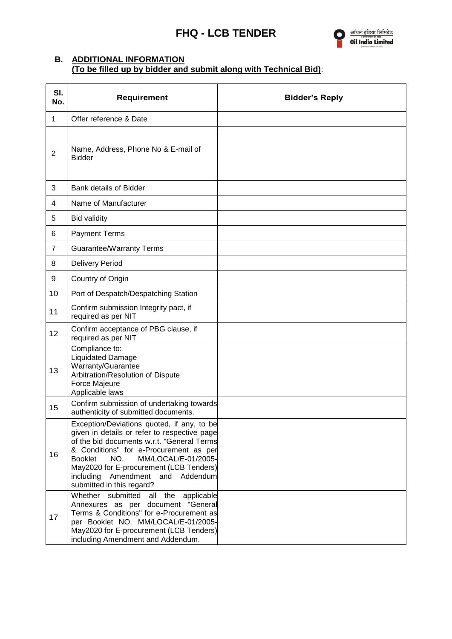

#### **B. ADDITIONAL INFORMATION (To be filled up by bidder and submit along with Technical Bid)**:

| SI.<br>No.     | Requirement                                                                                                                                                                                                                                                                                                                                          | <b>Bidder's Reply</b> |
|----------------|------------------------------------------------------------------------------------------------------------------------------------------------------------------------------------------------------------------------------------------------------------------------------------------------------------------------------------------------------|-----------------------|
| $\mathbf{1}$   | Offer reference & Date                                                                                                                                                                                                                                                                                                                               |                       |
| $\mathbf 2$    | Name, Address, Phone No & E-mail of<br><b>Bidder</b>                                                                                                                                                                                                                                                                                                 |                       |
| 3              | Bank details of Bidder                                                                                                                                                                                                                                                                                                                               |                       |
| 4              | Name of Manufacturer                                                                                                                                                                                                                                                                                                                                 |                       |
| 5              | <b>Bid validity</b>                                                                                                                                                                                                                                                                                                                                  |                       |
| 6              | <b>Payment Terms</b>                                                                                                                                                                                                                                                                                                                                 |                       |
| $\overline{7}$ | <b>Guarantee/Warranty Terms</b>                                                                                                                                                                                                                                                                                                                      |                       |
| 8              | <b>Delivery Period</b>                                                                                                                                                                                                                                                                                                                               |                       |
| 9              | Country of Origin                                                                                                                                                                                                                                                                                                                                    |                       |
| 10             | Port of Despatch/Despatching Station                                                                                                                                                                                                                                                                                                                 |                       |
| 11             | Confirm submission Integrity pact, if<br>required as per NIT                                                                                                                                                                                                                                                                                         |                       |
| 12             | Confirm acceptance of PBG clause, if<br>required as per NIT                                                                                                                                                                                                                                                                                          |                       |
| 13             | Compliance to:<br><b>Liquidated Damage</b><br>Warranty/Guarantee<br>Arbitration/Resolution of Dispute<br>Force Majeure<br>Applicable laws                                                                                                                                                                                                            |                       |
| 15             | Confirm submission of undertaking towards<br>authenticity of submitted documents.                                                                                                                                                                                                                                                                    |                       |
| 16             | Exception/Deviations quoted, if any, to be<br>given in details or refer to respective page<br>of the bid documents w.r.t. "General Terms<br>& Conditions" for e-Procurement as per<br>MM/LOCAL/E-01/2005-<br><b>Booklet</b><br>NO.<br>May2020 for E-procurement (LCB Tenders)<br>Amendment<br>including<br>and Addendum<br>submitted in this regard? |                       |
| 17             | Whether submitted<br>all<br>the<br>applicable<br>Annexures as per document "General<br>Terms & Conditions" for e-Procurement as<br>per Booklet NO. MM/LOCAL/E-01/2005-<br>May2020 for E-procurement (LCB Tenders)<br>including Amendment and Addendum.                                                                                               |                       |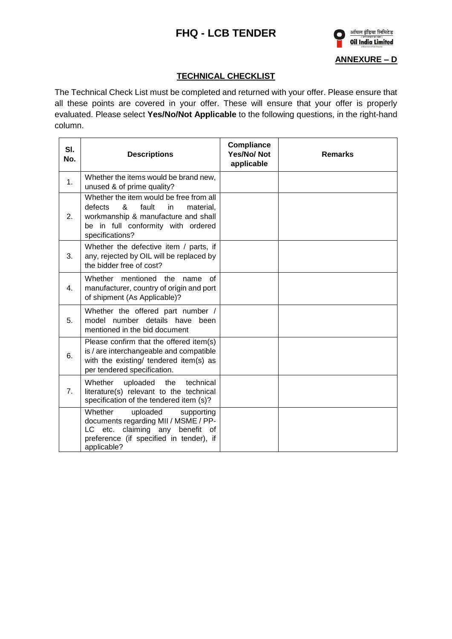

## **ANNEXURE – D**

#### **TECHNICAL CHECKLIST**

The Technical Check List must be completed and returned with your offer. Please ensure that all these points are covered in your offer. These will ensure that your offer is properly evaluated. Please select **Yes/No/Not Applicable** to the following questions, in the right-hand column.

| SI.<br>No. | <b>Descriptions</b>                                                                                                                                                                 | <b>Compliance</b><br><b>Yes/No/Not</b><br>applicable | <b>Remarks</b> |
|------------|-------------------------------------------------------------------------------------------------------------------------------------------------------------------------------------|------------------------------------------------------|----------------|
| 1.         | Whether the items would be brand new,<br>unused & of prime quality?                                                                                                                 |                                                      |                |
| 2.         | Whether the item would be free from all<br>&<br>fault<br>defects<br>in<br>material.<br>workmanship & manufacture and shall<br>be in full conformity with ordered<br>specifications? |                                                      |                |
| 3.         | Whether the defective item / parts, if<br>any, rejected by OIL will be replaced by<br>the bidder free of cost?                                                                      |                                                      |                |
| 4.         | Whether mentioned the name of<br>manufacturer, country of origin and port<br>of shipment (As Applicable)?                                                                           |                                                      |                |
| 5.         | Whether the offered part number /<br>model number details have been<br>mentioned in the bid document                                                                                |                                                      |                |
| 6.         | Please confirm that the offered item(s)<br>is / are interchangeable and compatible<br>with the existing/ tendered item(s) as<br>per tendered specification.                         |                                                      |                |
| 7.         | Whether<br>uploaded<br>the<br>technical<br>literature(s) relevant to the technical<br>specification of the tendered item (s)?                                                       |                                                      |                |
|            | Whether<br>uploaded<br>supporting<br>documents regarding MII / MSME / PP-<br>claiming any<br>benefit of<br>LC -<br>etc.<br>preference (if specified in tender), if<br>applicable?   |                                                      |                |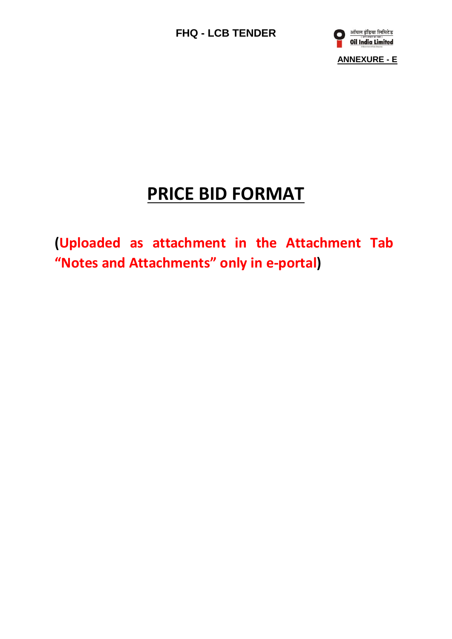

# **PRICE BID FORMAT**

**(Uploaded as attachment in the Attachment Tab "Notes and Attachments" only in e-portal)**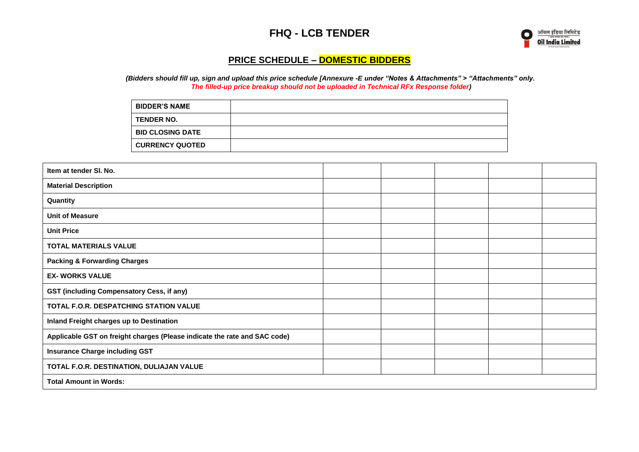

## **PRICE SCHEDULE – DOMESTIC BIDDERS**

*(Bidders should fill up, sign and upload this price schedule [Annexure -E under "Notes & Attachments" > "Attachments" only. The filled-up price breakup should not be uploaded in Technical RFx Response folder)*

| <b>BIDDER'S NAME</b>    |  |
|-------------------------|--|
| <b>TENDER NO.</b>       |  |
| <b>BID CLOSING DATE</b> |  |
| <b>CURRENCY QUOTED</b>  |  |

| Item at tender SI. No.                                                    |  |  |  |
|---------------------------------------------------------------------------|--|--|--|
| <b>Material Description</b>                                               |  |  |  |
| Quantity                                                                  |  |  |  |
| <b>Unit of Measure</b>                                                    |  |  |  |
| <b>Unit Price</b>                                                         |  |  |  |
| <b>TOTAL MATERIALS VALUE</b>                                              |  |  |  |
| <b>Packing &amp; Forwarding Charges</b>                                   |  |  |  |
| <b>EX- WORKS VALUE</b>                                                    |  |  |  |
| <b>GST (including Compensatory Cess, if any)</b>                          |  |  |  |
| TOTAL F.O.R. DESPATCHING STATION VALUE                                    |  |  |  |
| Inland Freight charges up to Destination                                  |  |  |  |
| Applicable GST on freight charges (Please indicate the rate and SAC code) |  |  |  |
| <b>Insurance Charge including GST</b>                                     |  |  |  |
| TOTAL F.O.R. DESTINATION, DULIAJAN VALUE                                  |  |  |  |
| <b>Total Amount in Words:</b>                                             |  |  |  |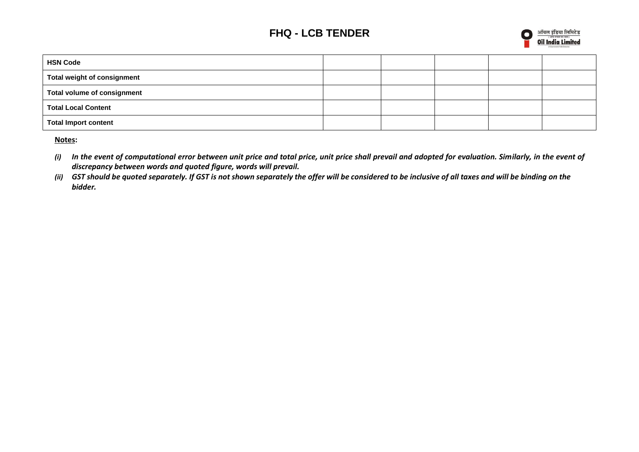

| <b>HSN Code</b>             |  |  |  |
|-----------------------------|--|--|--|
| Total weight of consignment |  |  |  |
| Total volume of consignment |  |  |  |
| Total Local Content         |  |  |  |
| Total Import content        |  |  |  |

**Notes:** 

- *(i) In the event of computational error between unit price and total price, unit price shall prevail and adopted for evaluation. Similarly, in the event of discrepancy between words and quoted figure, words will prevail.*
- *(ii) GST should be quoted separately. If GST is not shown separately the offer will be considered to be inclusive of all taxes and will be binding on the bidder.*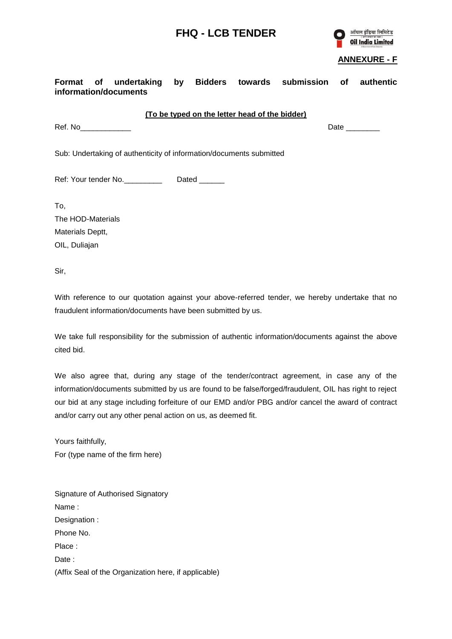

#### **ANNEXURE - F**

| Format of undertaking<br>information/documents                      |  |               |  | by Bidders towards submission | of | authentic                         |
|---------------------------------------------------------------------|--|---------------|--|-------------------------------|----|-----------------------------------|
| (To be typed on the letter head of the bidder)                      |  |               |  |                               |    |                                   |
| Ref. No                                                             |  |               |  |                               |    | Date $\_\_\_\_\_\_\_\_\_\_\_\_\_$ |
| Sub: Undertaking of authenticity of information/documents submitted |  |               |  |                               |    |                                   |
| Ref: Your tender No.                                                |  | Dated _______ |  |                               |    |                                   |
| To,                                                                 |  |               |  |                               |    |                                   |
| The HOD-Materials                                                   |  |               |  |                               |    |                                   |
| Materials Deptt,                                                    |  |               |  |                               |    |                                   |
| OIL, Duliajan                                                       |  |               |  |                               |    |                                   |

Sir,

With reference to our quotation against your above-referred tender, we hereby undertake that no fraudulent information/documents have been submitted by us.

We take full responsibility for the submission of authentic information/documents against the above cited bid.

We also agree that, during any stage of the tender/contract agreement, in case any of the information/documents submitted by us are found to be false/forged/fraudulent, OIL has right to reject our bid at any stage including forfeiture of our EMD and/or PBG and/or cancel the award of contract and/or carry out any other penal action on us, as deemed fit.

Yours faithfully, For (type name of the firm here)

Signature of Authorised Signatory Name : Designation : Phone No. Place : Date : (Affix Seal of the Organization here, if applicable)